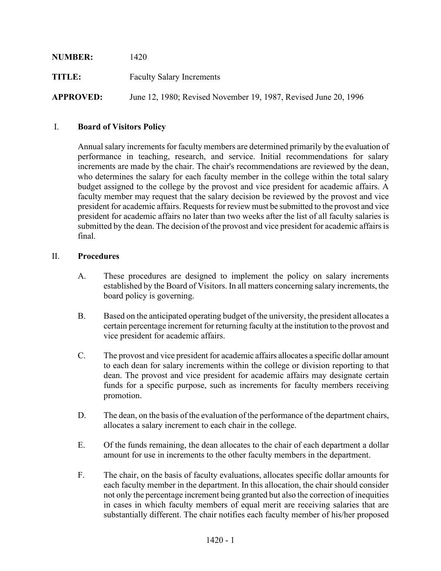| <b>NUMBER:</b>   | 1420                                                            |
|------------------|-----------------------------------------------------------------|
| TITLE:           | <b>Faculty Salary Increments</b>                                |
| <b>APPROVED:</b> | June 12, 1980; Revised November 19, 1987, Revised June 20, 1996 |

## I. **Board of Visitors Policy**

Annual salary increments for faculty members are determined primarily by the evaluation of performance in teaching, research, and service. Initial recommendations for salary increments are made by the chair. The chair's recommendations are reviewed by the dean, who determines the salary for each faculty member in the college within the total salary budget assigned to the college by the provost and vice president for academic affairs. A faculty member may request that the salary decision be reviewed by the provost and vice president for academic affairs. Requests for review must be submitted to the provost and vice president for academic affairs no later than two weeks after the list of all faculty salaries is submitted by the dean. The decision of the provost and vice president for academic affairs is final.

## II. **Procedures**

- A. These procedures are designed to implement the policy on salary increments established by the Board of Visitors. In all matters concerning salary increments, the board policy is governing.
- B. Based on the anticipated operating budget of the university, the president allocates a certain percentage increment for returning faculty at the institution to the provost and vice president for academic affairs.
- C. The provost and vice president for academic affairs allocates a specific dollar amount to each dean for salary increments within the college or division reporting to that dean. The provost and vice president for academic affairs may designate certain funds for a specific purpose, such as increments for faculty members receiving promotion.
- D. The dean, on the basis of the evaluation of the performance of the department chairs, allocates a salary increment to each chair in the college.
- E. Of the funds remaining, the dean allocates to the chair of each department a dollar amount for use in increments to the other faculty members in the department.
- F. The chair, on the basis of faculty evaluations, allocates specific dollar amounts for each faculty member in the department. In this allocation, the chair should consider not only the percentage increment being granted but also the correction of inequities in cases in which faculty members of equal merit are receiving salaries that are substantially different. The chair notifies each faculty member of his/her proposed